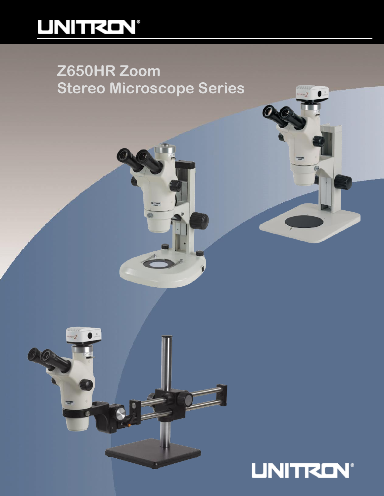## **LINITREN®**

## **Z650HR Zoom Stereo Microscope Series**

G





 $\mathbf{C}$